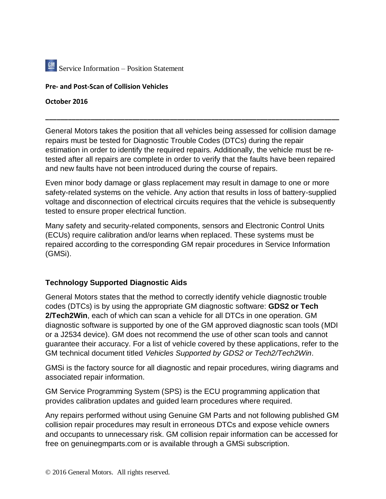

## **Pre- and Post-Scan of Collision Vehicles**

**October 2016**

General Motors takes the position that all vehicles being assessed for collision damage repairs must be tested for Diagnostic Trouble Codes (DTCs) during the repair estimation in order to identify the required repairs. Additionally, the vehicle must be retested after all repairs are complete in order to verify that the faults have been repaired and new faults have not been introduced during the course of repairs.

**\_\_\_\_\_\_\_\_\_\_\_\_\_\_\_\_\_\_\_\_\_\_\_\_\_\_\_\_\_\_\_\_\_\_\_\_\_\_\_\_\_\_\_\_\_\_\_\_\_\_\_\_\_\_\_\_\_\_\_\_\_\_\_\_\_\_\_\_\_\_\_\_\_\_\_\_\_\_**

Even minor body damage or glass replacement may result in damage to one or more safety-related systems on the vehicle. Any action that results in loss of battery-supplied voltage and disconnection of electrical circuits requires that the vehicle is subsequently tested to ensure proper electrical function.

Many safety and security-related components, sensors and Electronic Control Units (ECUs) require calibration and/or learns when replaced. These systems must be repaired according to the corresponding GM repair procedures in Service Information (GMSi).

## **Technology Supported Diagnostic Aids**

General Motors states that the method to correctly identify vehicle diagnostic trouble codes (DTCs) is by using the appropriate GM diagnostic software: **GDS2 or Tech 2/Tech2Win**, each of which can scan a vehicle for all DTCs in one operation. GM diagnostic software is supported by one of the GM approved diagnostic scan tools (MDI or a J2534 device). GM does not recommend the use of other scan tools and cannot guarantee their accuracy. For a list of vehicle covered by these applications, refer to the GM technical document titled *Vehicles Supported by GDS2 or Tech2/Tech2Win*.

GMSi is the factory source for all diagnostic and repair procedures, wiring diagrams and associated repair information.

GM Service Programming System (SPS) is the ECU programming application that provides calibration updates and guided learn procedures where required.

Any repairs performed without using Genuine GM Parts and not following published GM collision repair procedures may result in erroneous DTCs and expose vehicle owners and occupants to unnecessary risk. GM collision repair information can be accessed for free on genuinegmparts.com or is available through a GMSi subscription.